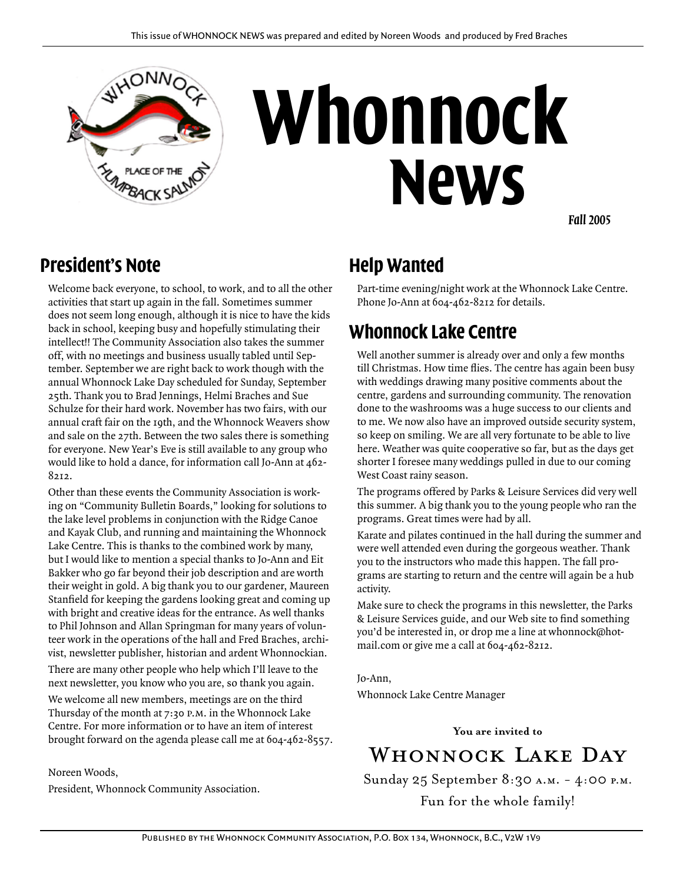

# **Whonnock News**

*Fall 2005*

#### **President's Note**

Welcome back everyone, to school, to work, and to all the other activities that start up again in the fall. Sometimes summer does not seem long enough, although it is nice to have the kids back in school, keeping busy and hopefully stimulating their intellect!! The Community Association also takes the summer off, with no meetings and business usually tabled until September. September we are right back to work though with the annual Whonnock Lake Day scheduled for Sunday, September 25th. Thank you to Brad Jennings, Helmi Braches and Sue Schulze for their hard work. November has two fairs, with our annual craft fair on the 19th, and the Whonnock Weavers show and sale on the 27th. Between the two sales there is something for everyone. New Year's Eve is still available to any group who would like to hold a dance, for information call Jo-Ann at 462- 8212.

Other than these events the Community Association is working on "Community Bulletin Boards," looking for solutions to the lake level problems in conjunction with the Ridge Canoe and Kayak Club, and running and maintaining the Whonnock Lake Centre. This is thanks to the combined work by many, but I would like to mention a special thanks to Jo-Ann and Eit Bakker who go far beyond their job description and are worth their weight in gold. A big thank you to our gardener, Maureen Stanfield for keeping the gardens looking great and coming up with bright and creative ideas for the entrance. As well thanks to Phil Johnson and Allan Springman for many years of volunteer work in the operations of the hall and Fred Braches, archivist, newsletter publisher, historian and ardent Whonnockian.

There are many other people who help which I'll leave to the next newsletter, you know who you are, so thank you again.

We welcome all new members, meetings are on the third Thursday of the month at 7:30 p.m. in the Whonnock Lake Centre. For more information or to have an item of interest brought forward on the agenda please call me at 604-462-8557.

Noreen Woods,

President, Whonnock Community Association.

## **Help Wanted**

Part-time evening/night work at the Whonnock Lake Centre. Phone Jo-Ann at 604-462-8212 for details.

#### **Whonnock Lake Centre**

Well another summer is already over and only a few months till Christmas. How time flies. The centre has again been busy with weddings drawing many positive comments about the centre, gardens and surrounding community. The renovation done to the washrooms was a huge success to our clients and to me. We now also have an improved outside security system, so keep on smiling. We are all very fortunate to be able to live here. Weather was quite cooperative so far, but as the days get shorter I foresee many weddings pulled in due to our coming West Coast rainy season.

The programs offered by Parks & Leisure Services did very well this summer. A big thank you to the young people who ran the programs. Great times were had by all.

Karate and pilates continued in the hall during the summer and were well attended even during the gorgeous weather. Thank you to the instructors who made this happen. The fall programs are starting to return and the centre will again be a hub activity.

Make sure to check the programs in this newsletter, the Parks & Leisure Services guide, and our Web site to find something you'd be interested in, or drop me a line at whonnock@hotmail.com or give me a call at 604-462-8212.

Jo-Ann, Whonnock Lake Centre Manager

**You are invited to** 

WHONNOCK LAKE DAY

Sunday 25 September 8:30 a.m. - 4:00 p.m.

Fun for the whole family!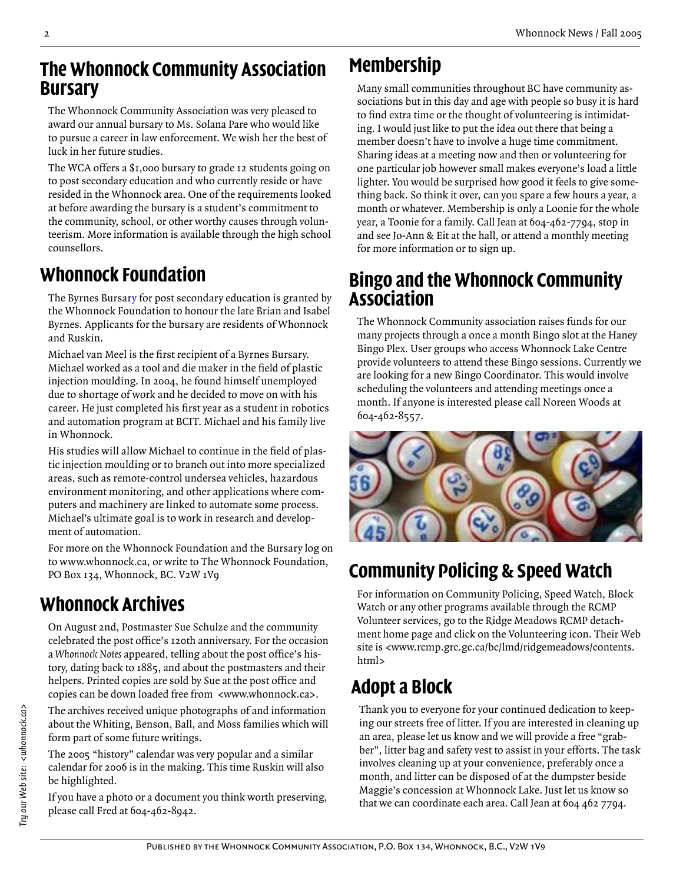#### **The Whonnock Community Association Bursary**

The Whonnock Community Association was very pleased to award our annual bursary to Ms. Solana Pare who would like to pursue a career in law enforcement. We wish her the best of luck in her future studies.

The WCA offers a \$1,000 bursary to grade 12 students going on to post secondary education and who currently reside or have resided in the Whonnock area. One of the requirements looked at before awarding the bursary is a student's commitment to the community, school, or other worthy causes through volunteerism. More information is available through the high school counsellors.

# **Whonnock Foundation**

The Byrnes Bursary for post secondary education is granted by the Whonnock Foundation to honour the late Brian and Isabel Byrnes. Applicants for the bursary are residents of Whonnock and Ruskin.

Michael van Meel is the first recipient of a Byrnes Bursary. Michael worked as a tool and die maker in the field of plastic injection moulding. In 2004, he found himself unemployed due to shortage of work and he decided to move on with his career. He just completed his first year as a student in robotics and automation program at BCIT. Michael and his family live in Whonnock.

His studies will allow Michael to continue in the field of plastic injection moulding or to branch out into more specialized areas, such as remote-control undersea vehicles, hazardous environment monitoring, and other applications where computers and machinery are linked to automate some process. Michael's ultimate goal is to work in research and development of automation.

For more on the Whonnock Foundation and the Bursary log on to www.whonnock.ca, or write to The Whonnock Foundation, PO Box 134, Whonnock, BC. V2W 1V9

# **Whonnock Archives**

On August 2nd, Postmaster Sue Schulze and the community celebrated the post office's 120th anniversary. For the occasion a *Whonnock Notes* appeared, telling about the post office's history, dating back to 1885, and about the postmasters and their helpers. Printed copies are sold by Sue at the post office and copies can be down loaded free from <www.whonnock.ca>.

The archives received unique photographs of and information about the Whiting, Benson, Ball, and Moss families which will form part of some future writings.

The 2005 "history" calendar was very popular and a similar calendar for 2006 is in the making. This time Ruskin will also be highlighted.

If you have a photo or a document you think worth preserving, please call Fred at 604-462-8942.

# **Membership**

Many small communities throughout BC have community associations but in this day and age with people so busy it is hard to find extra time or the thought of volunteering is intimidating. I would just like to put the idea out there that being a member doesn't have to involve a huge time commitment. Sharing ideas at a meeting now and then or volunteering for one particular job however small makes everyone's load a little lighter. You would be surprised how good it feels to give something back. So think it over, can you spare a few hours a year, a month or whatever. Membership is only a Loonie for the whole year, a Toonie for a family. Call Jean at 604-462-7794, stop in and see Jo-Ann & Eit at the hall, or attend a monthly meeting for more information or to sign up.

#### **Bingo and the Whonnock Community Association**

The Whonnock Community association raises funds for our many projects through a once a month Bingo slot at the Haney Bingo Plex. User groups who access Whonnock Lake Centre provide volunteers to attend these Bingo sessions. Currently we are looking for a new Bingo Coordinator. This would involve scheduling the volunteers and attending meetings once a month. If anyone is interested please call Noreen Woods at 604-462-8557.



# **Community Policing & Speed Watch**

For information on Community Policing, Speed Watch, Block Watch or any other programs available through the RCMP Volunteer services, go to the Ridge Meadows RCMP detachment home page and click on the Volunteering icon. Their Web site is <www.rcmp.grc.gc.ca/bc/lmd/ridgemeadows/contents. html>

# **Adopt a Block**

Thank you to everyone for your continued dedication to keeping our streets free of litter. If you are interested in cleaning up an area, please let us know and we will provide a free "grabber", litter bag and safety vest to assist in your efforts. The task involves cleaning up at your convenience, preferably once a month, and litter can be disposed of at the dumpster beside Maggie's concession at Whonnock Lake. Just let us know so that we can coordinate each area. Call Jean at 604 462 7794.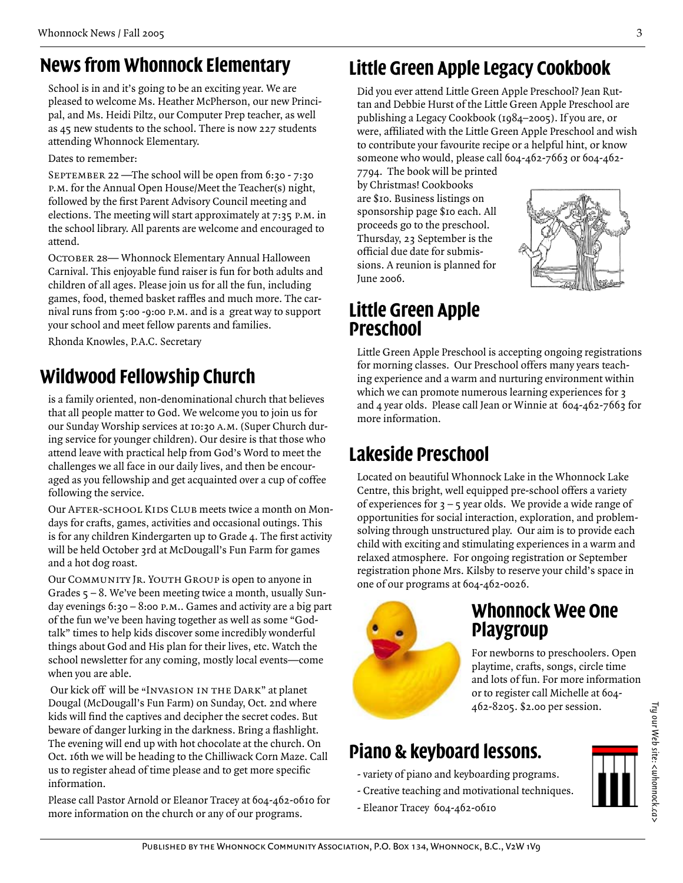## **News from Whonnock Elementary**

School is in and it's going to be an exciting year. We are pleased to welcome Ms. Heather McPherson, our new Principal, and Ms. Heidi Piltz, our Computer Prep teacher, as well as 45 new students to the school. There is now 227 students attending Whonnock Elementary.

Dates to remember:

SEPTEMBER 22 —The school will be open from 6:30 - 7:30 p.m. for the Annual Open House/Meet the Teacher(s) night, followed by the first Parent Advisory Council meeting and elections. The meeting will start approximately at 7:35 p.m. in the school library. All parents are welcome and encouraged to attend.

OCTOBER 28- Whonnock Elementary Annual Halloween Carnival. This enjoyable fund raiser is fun for both adults and children of all ages. Please join us for all the fun, including games, food, themed basket raffles and much more. The carnival runs from 5:00 -9:00 p.m. and is a great way to support your school and meet fellow parents and families.

Rhonda Knowles, P.A.C. Secretary

# **Wildwood Fellowship Church**

is a family oriented, non-denominational church that believes that all people matter to God. We welcome you to join us for our Sunday Worship services at 10:30 a.m. (Super Church during service for younger children). Our desire is that those who attend leave with practical help from God's Word to meet the challenges we all face in our daily lives, and then be encouraged as you fellowship and get acquainted over a cup of coffee following the service.

Our AFTER-SCHOOL KIDS CLUB meets twice a month on Mondays for crafts, games, activities and occasional outings. This is for any children Kindergarten up to Grade 4. The first activity will be held October 3rd at McDougall's Fun Farm for games and a hot dog roast.

Our COMMUNITY JR. YOUTH GROUP is open to anyone in Grades 5 – 8. We've been meeting twice a month, usually Sunday evenings 6:30 – 8:00 p.m.. Games and activity are a big part of the fun we've been having together as well as some "Godtalk" times to help kids discover some incredibly wonderful things about God and His plan for their lives, etc. Watch the school newsletter for any coming, mostly local events—come when you are able.

 Our kick off will be "Invasion in the Dark" at planet Dougal (McDougall's Fun Farm) on Sunday, Oct. 2nd where kids will find the captives and decipher the secret codes. But beware of danger lurking in the darkness. Bring a flashlight. The evening will end up with hot chocolate at the church. On Oct. 16th we will be heading to the Chilliwack Corn Maze. Call us to register ahead of time please and to get more specific information.

Please call Pastor Arnold or Eleanor Tracey at 604-462-0610 for more information on the church or any of our programs.

# **Little Green Apple Legacy Cookbook**

Did you ever attend Little Green Apple Preschool? Jean Ruttan and Debbie Hurst of the Little Green Apple Preschool are publishing a Legacy Cookbook (1984–2005). If you are, or were, affiliated with the Little Green Apple Preschool and wish to contribute your favourite recipe or a helpful hint, or know someone who would, please call 604-462-7663 or 604-462-

7794. The book will be printed by Christmas! Cookbooks are \$10. Business listings on sponsorship page \$10 each. All proceeds go to the preschool. Thursday, 23 September is the official due date for submissions. A reunion is planned for June 2006.



#### **Little Green Apple Preschool**

Little Green Apple Preschool is accepting ongoing registrations for morning classes. Our Preschool offers many years teaching experience and a warm and nurturing environment within which we can promote numerous learning experiences for 3 and 4 year olds. Please call Jean or Winnie at 604-462-7663 for more information.

# **Lakeside Preschool**

Located on beautiful Whonnock Lake in the Whonnock Lake Centre, this bright, well equipped pre-school offers a variety of experiences for  $3 - 5$  year olds. We provide a wide range of opportunities for social interaction, exploration, and problemsolving through unstructured play. Our aim is to provide each child with exciting and stimulating experiences in a warm and relaxed atmosphere. For ongoing registration or September registration phone Mrs. Kilsby to reserve your child's space in one of our programs at 604-462-0026.



#### **Whonnock Wee One Playgroup**

For newborns to preschoolers. Open playtime, crafts, songs, circle time and lots of fun. For more information or to register call Michelle at 604- 462-8205. \$2.00 per session.

# **Piano & keyboard lessons.**

- variety of piano and keyboarding programs.
- Creative teaching and motivational techniques.
- Eleanor Tracey 604-462-0610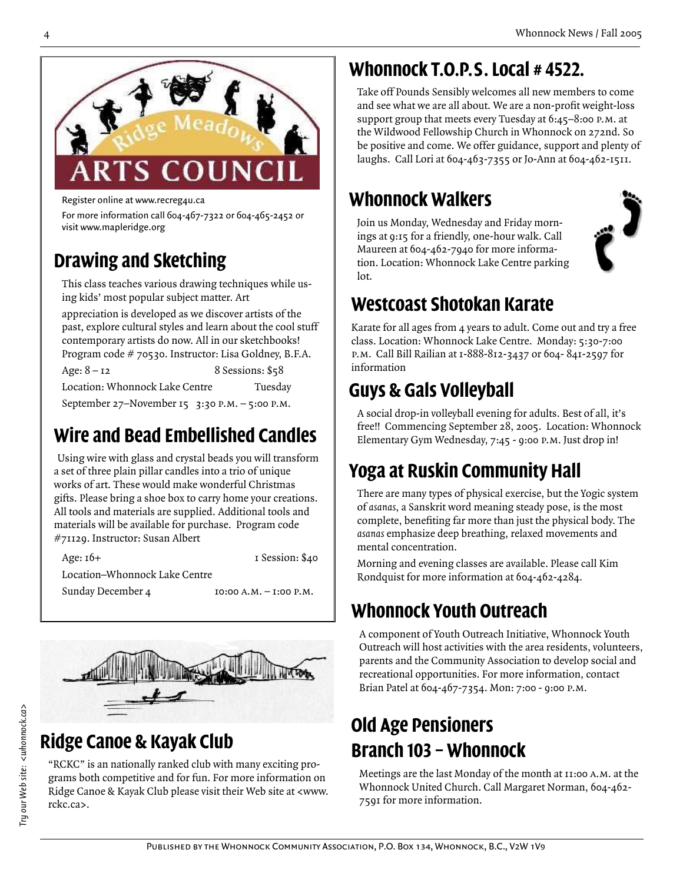

Register online at www.recreg4u.ca

For more information call 604-467-7322 or 604-465-2452 or visit www.mapleridge.org

# **Drawing and Sketching**

This class teaches various drawing techniques while using kids' most popular subject matter. Art

appreciation is developed as we discover artists of the past, explore cultural styles and learn about the cool stuff contemporary artists do now. All in our sketchbooks! Program code # 70530. Instructor: Lisa Goldney, B.F.A. Age:  $8 - 12$  8 Sessions:  $$58$ 

Location: Whonnock Lake Centre Tuesday

September 27–November 15 3:30 P.M. – 5:00 P.M.

# **Wire and Bead Embellished Candles**

Using wire with glass and crystal beads you will transform a set of three plain pillar candles into a trio of unique works of art. These would make wonderful Christmas gifts. Please bring a shoe box to carry home your creations. All tools and materials are supplied. Additional tools and materials will be available for purchase. Program code #71129. Instructor: Susan Albert

Age: 16+ 1 Session: \$40 Location–Whonnock Lake Centre Sunday December 4 10:00 A.M. – 1:00 P.M.



## **Ridge Canoe & Kayak Club**

"RCKC" is an nationally ranked club with many exciting programs both competitive and for fun. For more information on Ridge Canoe & Kayak Club please visit their Web site at <www. rckc.ca>.

# **Whonnock T.O.P.S. Local # 4522.**

Take off Pounds Sensibly welcomes all new members to come and see what we are all about. We are a non-profit weight-loss support group that meets every Tuesday at 6:45–8:00 p.m. at the Wildwood Fellowship Church in Whonnock on 272nd. So be positive and come. We offer guidance, support and plenty of laughs. Call Lori at 604-463-7355 or Jo-Ann at 604-462-1511.

# **Whonnock Walkers**

Join us Monday, Wednesday and Friday mornings at 9:15 for a friendly, one-hour walk. Call Maureen at 604-462-7940 for more information. Location: Whonnock Lake Centre parking lot.



# **Westcoast Shotokan Karate**

Karate for all ages from 4 years to adult. Come out and try a free class. Location: Whonnock Lake Centre. Monday: 5:30-7:00 p.m. Call Bill Railian at 1-888-812-3437 or 604- 841-2597 for information

# **Guys & Gals Volleyball**

A social drop-in volleyball evening for adults. Best of all, it's free!! Commencing September 28, 2005. Location: Whonnock Elementary Gym Wednesday, 7:45 - 9:00 p.m. Just drop in!

# **Yoga at Ruskin Community Hall**

There are many types of physical exercise, but the Yogic system of *asanas*, a Sanskrit word meaning steady pose, is the most complete, benefiting far more than just the physical body. The *asanas* emphasize deep breathing, relaxed movements and mental concentration.

Morning and evening classes are available. Please call Kim Rondquist for more information at 604-462-4284.

# **Whonnock Youth Outreach**

A component of Youth Outreach Initiative, Whonnock Youth Outreach will host activities with the area residents, volunteers, parents and the Community Association to develop social and recreational opportunities. For more information, contact Brian Patel at 604-467-7354. Mon: 7:00 - 9:00 p.m.

# **Old Age Pensioners Branch 103 – Whonnock**

Meetings are the last Monday of the month at 11:00 A.M. at the Whonnock United Church. Call Margaret Norman, 604-462- 7591 for more information.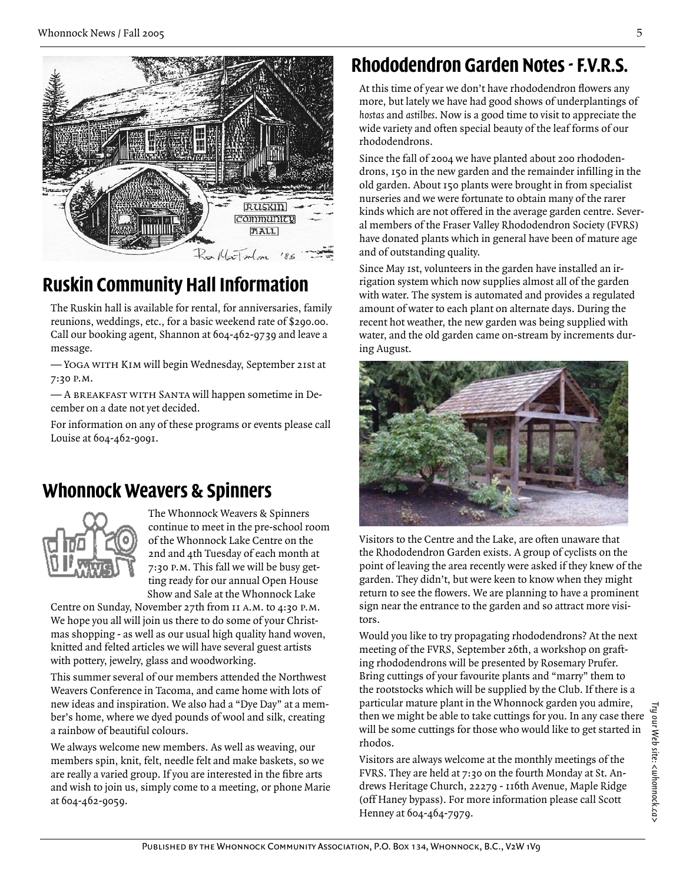

# **Ruskin Community Hall Information**

The Ruskin hall is available for rental, for anniversaries, family reunions, weddings, etc., for a basic weekend rate of \$290.00. Call our booking agent, Shannon at 604-462-9739 and leave a message.

— Yoga with Kim will begin Wednesday, September 21st at 7:30 p.m.

— A breakfast with Santa will happen sometime in December on a date not yet decided.

For information on any of these programs or events please call Louise at 604-462-9091.

#### **Whonnock Weavers & Spinners**



The Whonnock Weavers & Spinners continue to meet in the pre-school room of the Whonnock Lake Centre on the 2nd and 4th Tuesday of each month at 7:30 p.m. This fall we will be busy getting ready for our annual Open House Show and Sale at the Whonnock Lake

Centre on Sunday, November 27th from 11 a.m. to 4:30 p.m. We hope you all will join us there to do some of your Christmas shopping - as well as our usual high quality hand woven, knitted and felted articles we will have several guest artists with pottery, jewelry, glass and woodworking.

This summer several of our members attended the Northwest Weavers Conference in Tacoma, and came home with lots of new ideas and inspiration. We also had a "Dye Day" at a member's home, where we dyed pounds of wool and silk, creating a rainbow of beautiful colours.

We always welcome new members. As well as weaving, our members spin, knit, felt, needle felt and make baskets, so we are really a varied group. If you are interested in the fibre arts and wish to join us, simply come to a meeting, or phone Marie at 604-462-9059.

# **Rhododendron Garden Notes - F.V.R.S.**

At this time of year we don't have rhododendron flowers any more, but lately we have had good shows of underplantings of *hostas* and *astilbes*. Now is a good time to visit to appreciate the wide variety and often special beauty of the leaf forms of our rhododendrons.

Since the fall of 2004 we have planted about 200 rhododendrons, 150 in the new garden and the remainder infilling in the old garden. About 150 plants were brought in from specialist nurseries and we were fortunate to obtain many of the rarer kinds which are not offered in the average garden centre. Several members of the Fraser Valley Rhododendron Society (FVRS) have donated plants which in general have been of mature age and of outstanding quality.

Since May 1st, volunteers in the garden have installed an irrigation system which now supplies almost all of the garden with water. The system is automated and provides a regulated amount of water to each plant on alternate days. During the recent hot weather, the new garden was being supplied with water, and the old garden came on-stream by increments during August.



Visitors to the Centre and the Lake, are often unaware that the Rhododendron Garden exists. A group of cyclists on the point of leaving the area recently were asked if they knew of the garden. They didn't, but were keen to know when they might return to see the flowers. We are planning to have a prominent sign near the entrance to the garden and so attract more visitors.

Would you like to try propagating rhododendrons? At the next meeting of the FVRS, September 26th, a workshop on grafting rhododendrons will be presented by Rosemary Prufer. Bring cuttings of your favourite plants and "marry" them to the rootstocks which will be supplied by the Club. If there is a particular mature plant in the Whonnock garden you admire, then we might be able to take cuttings for you. In any case there will be some cuttings for those who would like to get started in rhodos.

Visitors are always welcome at the monthly meetings of the FVRS. They are held at 7:30 on the fourth Monday at St. Andrews Heritage Church, 22279 - 116th Avenue, Maple Ridge (off Haney bypass). For more information please call Scott Henney at 604-464-7979.